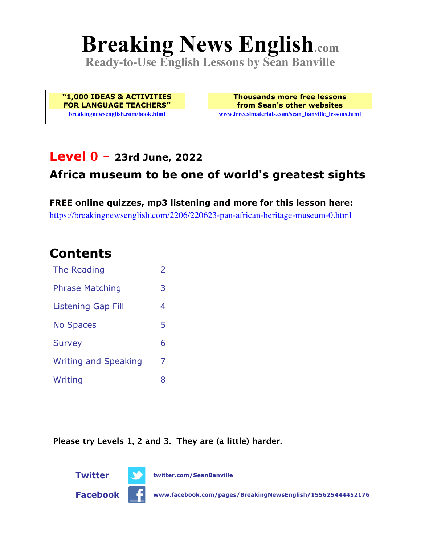# **Breaking News English.com**

**Ready-to-Use English Lessons by Sean Banville**

**"1,000 IDEAS & ACTIVITIES FOR LANGUAGE TEACHERS" breakingnewsenglish.com/book.html**

**Thousands more free lessons from Sean's other websites www.freeeslmaterials.com/sean\_banville\_lessons.html**

### **Level 0 - 23rd June, 2022**

### **Africa museum to be one of world's greatest sights**

**FREE online quizzes, mp3 listening and more for this lesson here:** https://breakingnewsenglish.com/2206/220623-pan-african-heritage-museum-0.html

### **Contents**

| The Reading                 | $\overline{2}$ |
|-----------------------------|----------------|
| <b>Phrase Matching</b>      | 3              |
| <b>Listening Gap Fill</b>   | 4              |
| <b>No Spaces</b>            | 5              |
| <b>Survey</b>               | 6              |
| <b>Writing and Speaking</b> | 7              |
| Writing                     | 8              |

**Please try Levels 1, 2 and 3. They are (a little) harder.**



**Facebook www.facebook.com/pages/BreakingNewsEnglish/155625444452176**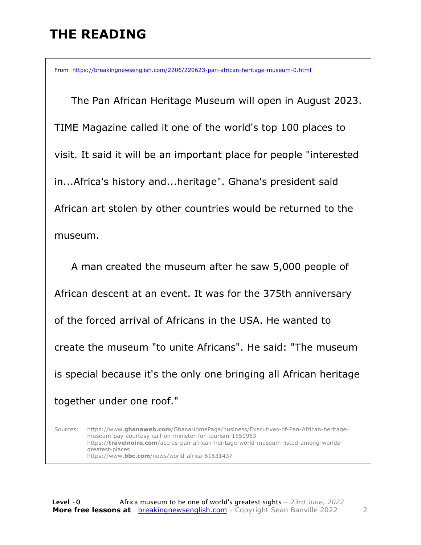# **THE READING**

From https://breakingnewsenglish.com/2206/220623-pan-african-heritage-museum-0.html

 The Pan African Heritage Museum will open in August 2023. TIME Magazine called it one of the world's top 100 places to visit. It said it will be an important place for people "interested in...Africa's history and...heritage". Ghana's president said African art stolen by other countries would be returned to the museum.

 A man created the museum after he saw 5,000 people of African descent at an event. It was for the 375th anniversary of the forced arrival of Africans in the USA. He wanted to create the museum "to unite Africans". He said: "The museum is special because it's the only one bringing all African heritage together under one roof."

Sources: https://www.**ghanaweb.com**/GhanaHomePage/business/Executives-of-Pan-African-heritagemuseum-pay-courtesy-call-on-minister-for-tourism-1550963 https://**travelnoire.com**/accras-pan-african-heritage-world-museum-listed-among-worldsgreatest-places https://www.**bbc.com**/news/world-africa-61631437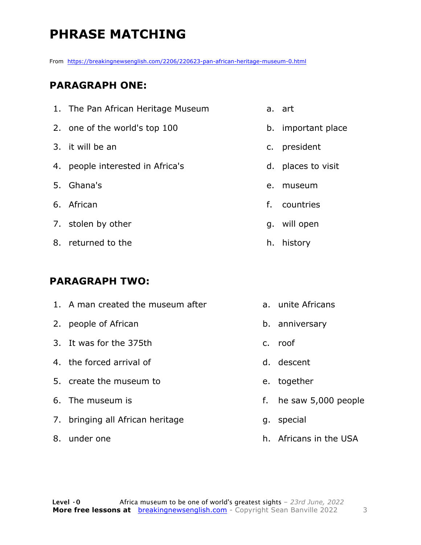# **PHRASE MATCHING**

From https://breakingnewsenglish.com/2206/220623-pan-african-heritage-museum-0.html

#### **PARAGRAPH ONE:**

| 1. The Pan African Heritage Museum |    | a. art             |
|------------------------------------|----|--------------------|
| 2. one of the world's top 100      |    | b. important place |
| 3. it will be an                   |    | c. president       |
| 4. people interested in Africa's   |    | d. places to visit |
| 5. Ghana's                         | e. | museum             |
| 6. African                         | f. | countries          |
| 7. stolen by other                 |    | g. will open       |
| 8. returned to the                 |    | h. history         |
|                                    |    |                    |

#### **PARAGRAPH TWO:**

| 1. A man created the museum after |    | a. unite Africans      |
|-----------------------------------|----|------------------------|
| 2. people of African              |    | b. anniversary         |
| 3. It was for the 375th           |    | c. roof                |
| 4. the forced arrival of          |    | d. descent             |
| 5. create the museum to           |    | e. together            |
| 6. The museum is                  | f. | he saw 5,000 people    |
| 7. bringing all African heritage  |    | g. special             |
| 8. under one                      |    | h. Africans in the USA |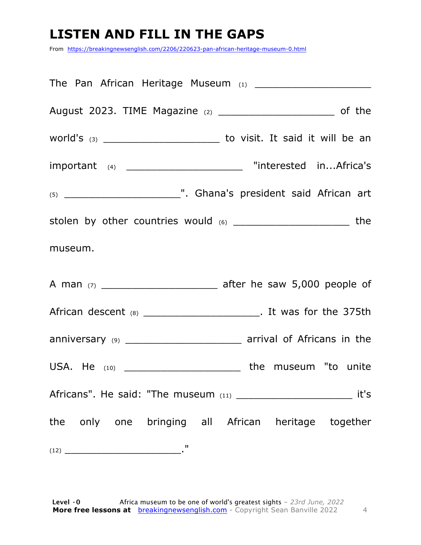## **LISTEN AND FILL IN THE GAPS**

From https://breakingnewsenglish.com/2206/220623-pan-african-heritage-museum-0.html

| August 2023. TIME Magazine (2) ________________________________ of the          |
|---------------------------------------------------------------------------------|
| world's $(3)$ _________________________________ to visit. It said it will be an |
| important (4) __________________________ "interested inAfrica's                 |
|                                                                                 |
| stolen by other countries would (6) ___________________________ the             |
| museum.                                                                         |
|                                                                                 |
| African descent (8) _________________________. It was for the 375th             |
| anniversary (9) ____________________________ arrival of Africans in the         |
| USA. He $(10)$ ______________________________ the museum "to unite              |
| Africans". He said: "The museum (11) ________________________________ it's      |
| the only one bringing all African heritage together                             |
|                                                                                 |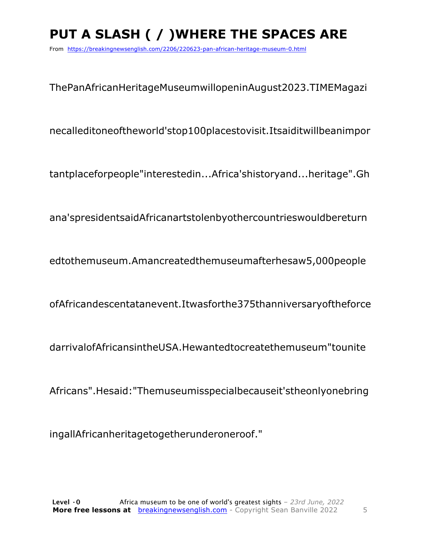# **PUT A SLASH ( / )WHERE THE SPACES ARE**

From https://breakingnewsenglish.com/2206/220623-pan-african-heritage-museum-0.html

ThePanAfricanHeritageMuseumwillopeninAugust2023.TIMEMagazi

necalleditoneoftheworld'stop100placestovisit.Itsaiditwillbeanimpor

tantplaceforpeople"interestedin...Africa'shistoryand...heritage".Gh

ana'spresidentsaidAfricanartstolenbyothercountrieswouldbereturn

edtothemuseum.Amancreatedthemuseumafterhesaw5,000people

ofAfricandescentatanevent.Itwasforthe375thanniversaryoftheforce

darrivalofAfricansintheUSA.Hewantedtocreatethemuseum"tounite

Africans".Hesaid:"Themuseumisspecialbecauseit'stheonlyonebring

ingallAfricanheritagetogetherunderoneroof."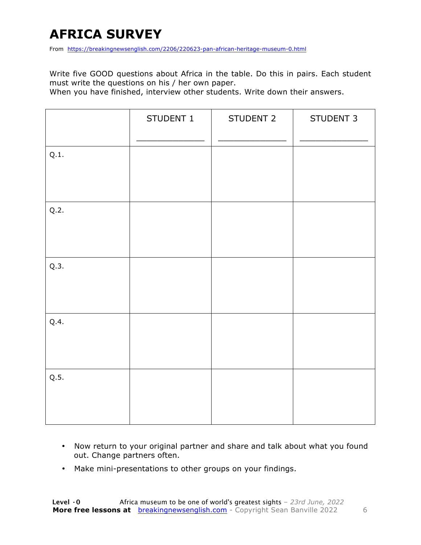# **AFRICA SURVEY**

From https://breakingnewsenglish.com/2206/220623-pan-african-heritage-museum-0.html

Write five GOOD questions about Africa in the table. Do this in pairs. Each student must write the questions on his / her own paper.

When you have finished, interview other students. Write down their answers.

|      | STUDENT 1 | STUDENT 2 | STUDENT 3 |
|------|-----------|-----------|-----------|
| Q.1. |           |           |           |
| Q.2. |           |           |           |
| Q.3. |           |           |           |
| Q.4. |           |           |           |
| Q.5. |           |           |           |

- Now return to your original partner and share and talk about what you found out. Change partners often.
- Make mini-presentations to other groups on your findings.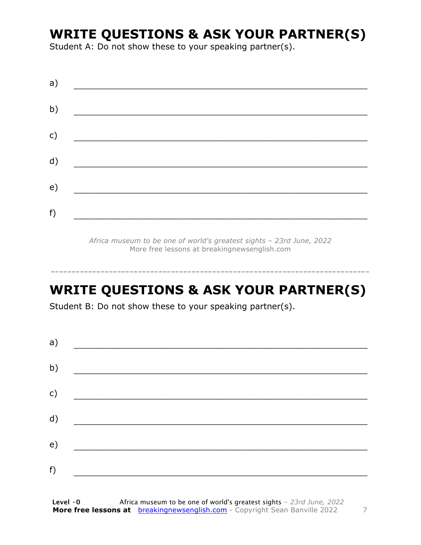## **WRITE QUESTIONS & ASK YOUR PARTNER(S)**

Student A: Do not show these to your speaking partner(s).

| a) |  |  |
|----|--|--|
| b) |  |  |
| c) |  |  |
| d) |  |  |
| e) |  |  |
| f) |  |  |
|    |  |  |

*Africa museum to be one of world's greatest sights – 23rd June, 2022* More free lessons at breakingnewsenglish.com

### **WRITE QUESTIONS & ASK YOUR PARTNER(S)**

-----------------------------------------------------------------------------

Student B: Do not show these to your speaking partner(s).

| a) |  |  |
|----|--|--|
| b) |  |  |
| c) |  |  |
| d) |  |  |
| e) |  |  |
| f) |  |  |
|    |  |  |

**Level ·0** Africa museum to be one of world's greatest sights *– 23rd June, 2022* **More free lessons at** breakingnewsenglish.com - Copyright Sean Banville 2022 7